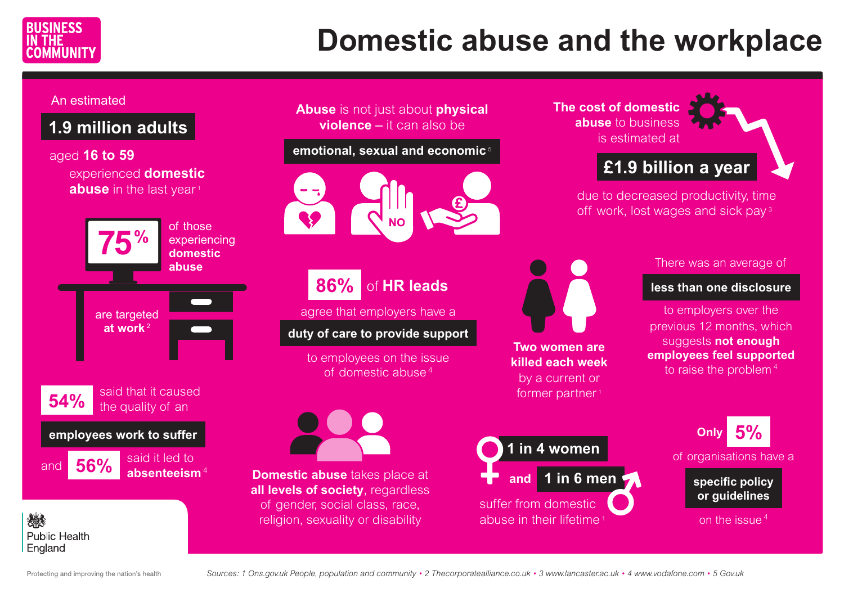

# **Domestic abuse and the workplace**